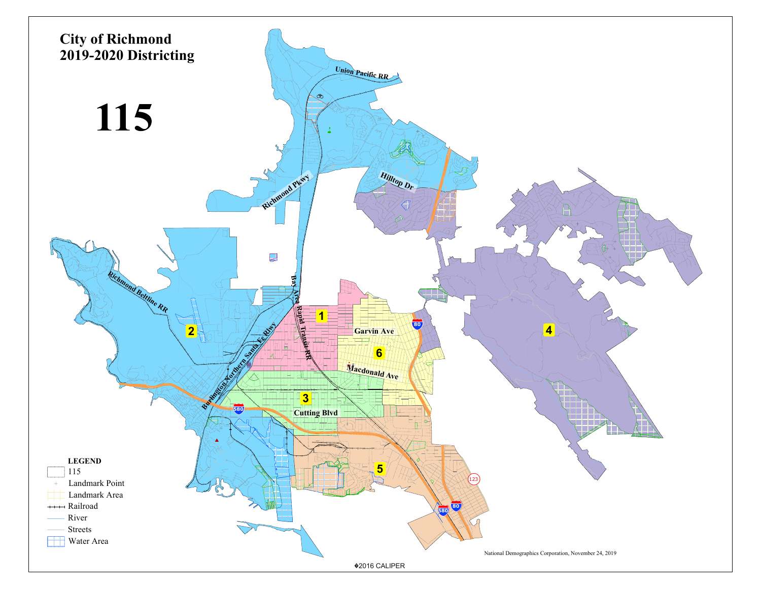